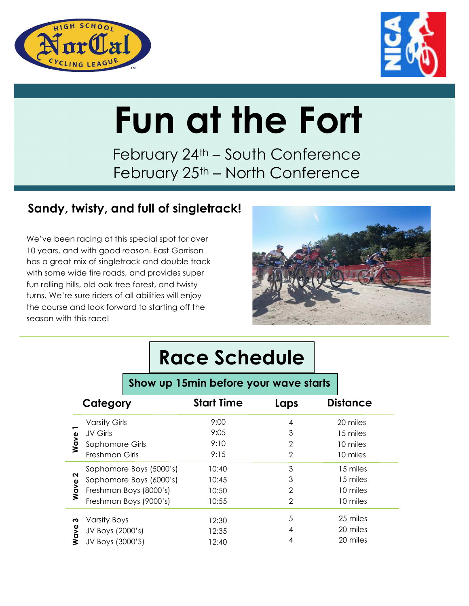



# **Fun at the Fort**

February 24<sup>th</sup> – South Conference February 25<sup>th</sup> – North Conference

### **Sandy, twisty, and full of singletrack!**

We've been racing at this special spot for over 10 years, and with good reason. East Garrison has a great mix of singletrack and double track with some wide fire roads, and provides super fun rolling hills, old oak tree forest, and twisty turns. We're sure riders of all abilities will enjoy the course and look forward to starting off the season with this race!



# **Race Schedule**

### **Show up 15min before your wave starts**

| Category  |                         | <b>Start Time</b> | Laps           | <b>Distance</b> |
|-----------|-------------------------|-------------------|----------------|-----------------|
| Wave      | <b>Varsity Girls</b>    | 9:00              | 4              | 20 miles        |
|           | JV Girls                | 9:05              | 3              | 15 miles        |
|           | Sophomore Girls         | 9:10              | $\overline{2}$ | 10 miles        |
|           | Freshman Girls          | 9:15              | $\overline{2}$ | 10 miles        |
| N<br>Wave | Sophomore Boys (5000's) | 10:40             | 3              | 15 miles        |
|           | Sophomore Boys (6000's) | 10:45             | 3              | 15 miles        |
|           | Freshman Boys (8000's)  | 10:50             | 2              | 10 miles        |
|           | Freshman Boys (9000's)  | 10:55             | $\overline{2}$ | 10 miles        |
| ო<br>Wave | <b>Varsity Boys</b>     | 12:30             | 5              | 25 miles        |
|           | JV Boys (2000's)        | 12:35             | 4              | 20 miles        |
|           | JV Boys (3000'S)        | 12:40             |                | 20 miles        |
|           |                         |                   |                |                 |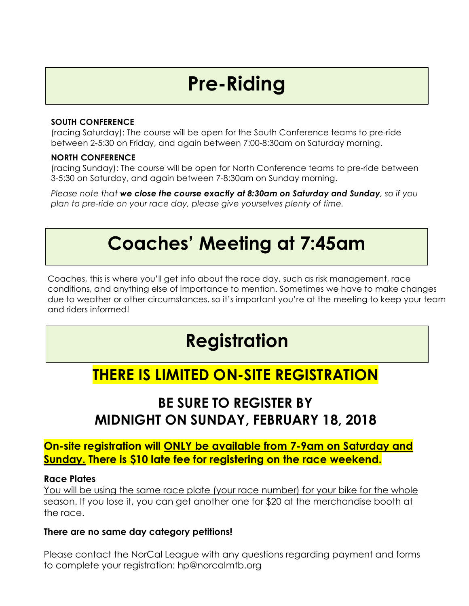# **Pre-Riding**

#### **SOUTH CONFERENCE**

(racing Saturday): The course will be open for the South Conference teams to pre-ride between 2-5:30 on Friday, and again between 7:00-8:30am on Saturday morning.

#### **NORTH CONFERENCE**

(racing Sunday): The course will be open for North Conference teams to pre-ride between 3-5:30 on Saturday, and again between 7-8:30am on Sunday morning.

*Please note that we close the course exactly at 8:30am on Saturday and Sunday, so if you plan to pre-ride on your race day, please give yourselves plenty of time.* 

# **Coaches' Meeting at 7:45am**

Coaches, this is where you'll get info about the race day, such as risk management, race conditions, and anything else of importance to mention. Sometimes we have to make changes due to weather or other circumstances, so it's important you're at the meeting to keep your team and riders informed!

# **Registration**

### **THERE IS LIMITED ON-SITE REGISTRATION**

### **BE SURE TO REGISTER BY MIDNIGHT ON SUNDAY, FEBRUARY 18, 2018**

#### **On-site registration will ONLY be available from 7-9am on Saturday and Sunday. There is \$10 late fee for registering on the race weekend.**

#### **Race Plates**

You will be using the same race plate (your race number) for your bike for the whole season. If you lose it, you can get another one for \$20 at the merchandise booth at the race.

#### **There are no same day category petitions!**

Please contact the NorCal League with any questions regarding payment and forms to complete your registration: hp@norcalmtb.org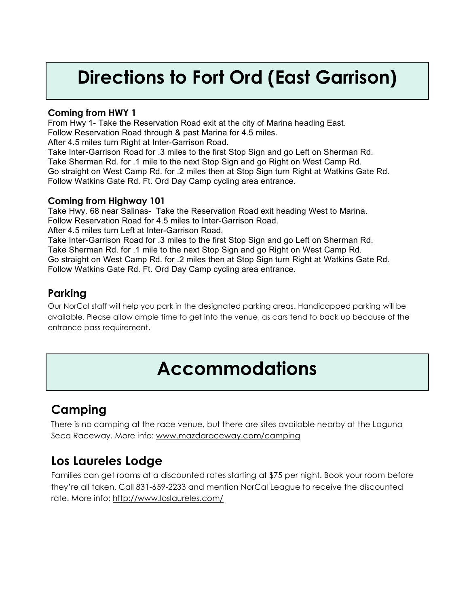## **Directions to Fort Ord (East Garrison)**

#### **Coming from HWY 1**

From Hwy 1- Take the Reservation Road exit at the city of Marina heading East. Follow Reservation Road through & past Marina for 4.5 miles. After 4.5 miles turn Right at Inter-Garrison Road.

Take Inter-Garrison Road for .3 miles to the first Stop Sign and go Left on Sherman Rd. Take Sherman Rd. for .1 mile to the next Stop Sign and go Right on West Camp Rd. Go straight on West Camp Rd. for .2 miles then at Stop Sign turn Right at Watkins Gate Rd. Follow Watkins Gate Rd. Ft. Ord Day Camp cycling area entrance.

#### **Coming from Highway 101**

Take Hwy. 68 near Salinas- Take the Reservation Road exit heading West to Marina. Follow Reservation Road for 4.5 miles to Inter-Garrison Road. After 4.5 miles turn Left at Inter-Garrison Road. Take Inter-Garrison Road for .3 miles to the first Stop Sign and go Left on Sherman Rd.

Take Sherman Rd. for .1 mile to the next Stop Sign and go Right on West Camp Rd. Go straight on West Camp Rd. for .2 miles then at Stop Sign turn Right at Watkins Gate Rd. Follow Watkins Gate Rd. Ft. Ord Day Camp cycling area entrance.

#### **Parking**

Our NorCal staff will help you park in the designated parking areas. Handicapped parking will be available. Please allow ample time to get into the venue, as cars tend to back up because of the entrance pass requirement.

### **Accommodations**

### **Camping**

There is no camping at the race venue, but there are sites available nearby at the Laguna Seca Raceway. More info: www.mazdaraceway.com/camping

### **Los Laureles Lodge**

Families can get rooms at a discounted rates starting at \$75 per night. Book your room before they're all taken. Call 831-659-2233 and mention NorCal League to receive the discounted rate. More info: http://www.loslaureles.com/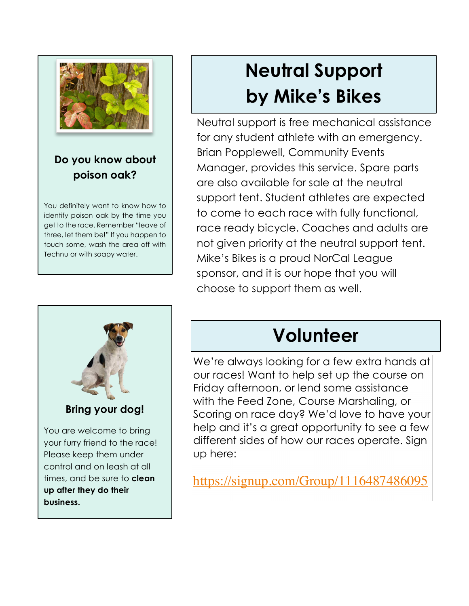

### **Do you know about poison oak?**

You definitely want to know how to identify poison oak by the time you get to the race. Remember "leave of three, let them be!" If you happen to touch some, wash the area off with Technu or with soapy water.



# **Neutral Support by Mike's Bikes**

Neutral support is free mechanical assistance for any student athlete with an emergency. Brian Popplewell, Community Events Manager, provides this service. Spare parts are also available for sale at the neutral support tent. Student athletes are expected to come to each race with fully functional, race ready bicycle. Coaches and adults are not given priority at the neutral support tent. Mike's Bikes is a proud NorCal League sponsor, and it is our hope that you will choose to support them as well.

# **Volunteer**

We're always looking for a few extra hands at our races! Want to help set up the course on Friday afternoon, or lend some assistance with the Feed Zone, Course Marshaling, or Scoring on race day? We'd love to have your help and it's a great opportunity to see a few different sides of how our races operate. Sign up here:

https://signup.com/Group/1116487486095